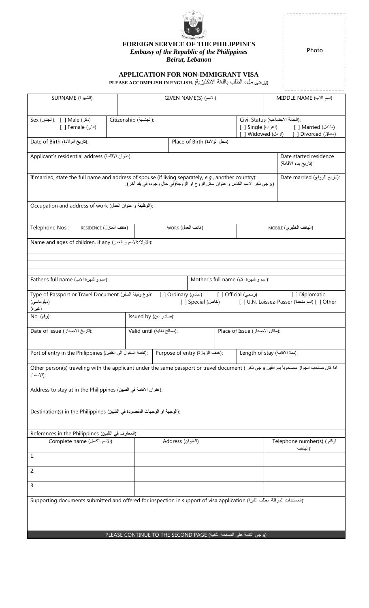

**FOREIGN SERVICE OF THE PHILIPPINES**

*Embassy of the Republic of the Philippines*

*Beirut, Lebanon*

Photo

## **APPLICATION FOR NON-IMMIGRANT VISA**

**(**يرجى ملء الطلب باللغة االنكليزية**) .ENGLISH IN ACCOMPLISH PLEASE**

| (الشهرة) SURNAME                                                                                                                                                                                                     |                                                | GIVEN NAME(S) (الأسم)                                                 |                               |                         | MIDDLE NAME (اسم الآب)                                                                                                |                                         |  |  |
|----------------------------------------------------------------------------------------------------------------------------------------------------------------------------------------------------------------------|------------------------------------------------|-----------------------------------------------------------------------|-------------------------------|-------------------------|-----------------------------------------------------------------------------------------------------------------------|-----------------------------------------|--|--|
| Sex (الجنس): [ ] Male (إذكر<br>[انٹی) Female [ ]                                                                                                                                                                     |                                                | Citizenship (الجنسية):                                                |                               |                         | Civil Status (الحالة الاجتماعية):<br>[ ] Single (اعزب)<br>[متاهل Married (متاهل<br>[ ] Widowed (ارمل) Divorced () [ ] |                                         |  |  |
| Date of Birth (أتاريخ الولادة):                                                                                                                                                                                      |                                                |                                                                       | Place of Birth (محل الولادة): |                         |                                                                                                                       |                                         |  |  |
| Applicant's residential address (عنوان الاقامة):                                                                                                                                                                     | Date started residence<br>:(تاريخ بدء الاقامة) |                                                                       |                               |                         |                                                                                                                       |                                         |  |  |
| If married, state the full name and address of spouse (if living separately, e.g., another country):<br>Date married (تاريخ الزواج):<br>(برجي ذكر الاسم الكامل و عنوان سكن الزوج او الزوجة(في حال وجوده في بلد آخر): |                                                |                                                                       |                               |                         |                                                                                                                       |                                         |  |  |
| Occupation and address of work (الوظيفة و عنوان العمل):                                                                                                                                                              |                                                |                                                                       |                               |                         |                                                                                                                       |                                         |  |  |
| (هاتف المنزل) RESIDENCE<br>(هاتف العمل) WORK<br>Telephone Nos.:                                                                                                                                                      |                                                |                                                                       |                               | (الهاتف الخليوي) MOBILE |                                                                                                                       |                                         |  |  |
| Name and ages of children, if any (الاولاد: الاسم و العمر):                                                                                                                                                          |                                                |                                                                       |                               |                         |                                                                                                                       |                                         |  |  |
|                                                                                                                                                                                                                      |                                                |                                                                       |                               |                         |                                                                                                                       |                                         |  |  |
| Father's full name (اسم و شهرة الاب):                                                                                                                                                                                |                                                |                                                                       |                               |                         |                                                                                                                       |                                         |  |  |
| Mother's full name (اسم و شهرة الام):                                                                                                                                                                                |                                                |                                                                       |                               |                         |                                                                                                                       |                                         |  |  |
| Type of Passport or Travel Document (إنوع وثيقة السفر): [  ] Ordinary (عادي) [ Official (أوسمى )<br>[ ] Diplomatic<br>(دبلوماسى)<br>[ ] Other [ ] Special (خاص) [ ] U.N. Laissez-Passer (أحاص) [ ] Other<br>(غیر ہ)  |                                                |                                                                       |                               |                         |                                                                                                                       |                                         |  |  |
| :(رقم) .No                                                                                                                                                                                                           |                                                | :(صادر عن) Issued by                                                  |                               |                         |                                                                                                                       |                                         |  |  |
| Date of issue (تاريخ الاصدار):                                                                                                                                                                                       |                                                | Valid until (صالح لغاية):<br>Place of Issue (مكان الاصدار):           |                               |                         |                                                                                                                       |                                         |  |  |
| Port of entry in the Philippines (نقطة الدخول الى الفلبين):<br>:(هدف الزيارة) Purpose of entry<br>Length of stay (مدة الاقامة):                                                                                      |                                                |                                                                       |                               |                         |                                                                                                                       |                                         |  |  |
| اذا كان صاحب الجواز مصحوباً بعرافقين يرجى ذكر ) Other person(s) traveling with the applicant under the same passport or travel document<br>:(الاسماء                                                                 |                                                |                                                                       |                               |                         |                                                                                                                       |                                         |  |  |
| Address to stay at in the Philippines (عنوان الاقامة في الفلبين):                                                                                                                                                    |                                                |                                                                       |                               |                         |                                                                                                                       |                                         |  |  |
|                                                                                                                                                                                                                      |                                                |                                                                       |                               |                         |                                                                                                                       |                                         |  |  |
| Destination(s) in the Philippines (الوجهة او الوجهات المقصودة في الفلبين):                                                                                                                                           |                                                |                                                                       |                               |                         |                                                                                                                       |                                         |  |  |
| References in the Philippines (المعارف في الفلبين):                                                                                                                                                                  |                                                |                                                                       |                               |                         |                                                                                                                       |                                         |  |  |
| Complete name (الاسم الكامل)                                                                                                                                                                                         |                                                | Address (العنوان)                                                     |                               |                         |                                                                                                                       | Telephone number(s) (ارقام)<br>:(الهاتف |  |  |
| 1.                                                                                                                                                                                                                   |                                                |                                                                       |                               |                         |                                                                                                                       |                                         |  |  |
| 2.                                                                                                                                                                                                                   |                                                |                                                                       |                               |                         |                                                                                                                       |                                         |  |  |
| 3.                                                                                                                                                                                                                   |                                                |                                                                       |                               |                         |                                                                                                                       |                                         |  |  |
| :(المستندات المرفقة بطلب الفيزا) Supporting documents submitted and offered for inspection in support of visa application                                                                                            |                                                |                                                                       |                               |                         |                                                                                                                       |                                         |  |  |
|                                                                                                                                                                                                                      |                                                | (برجي النّتمة على الصفحة الثّانية) PLEASE CONTINUE TO THE SECOND PAGE |                               |                         |                                                                                                                       |                                         |  |  |